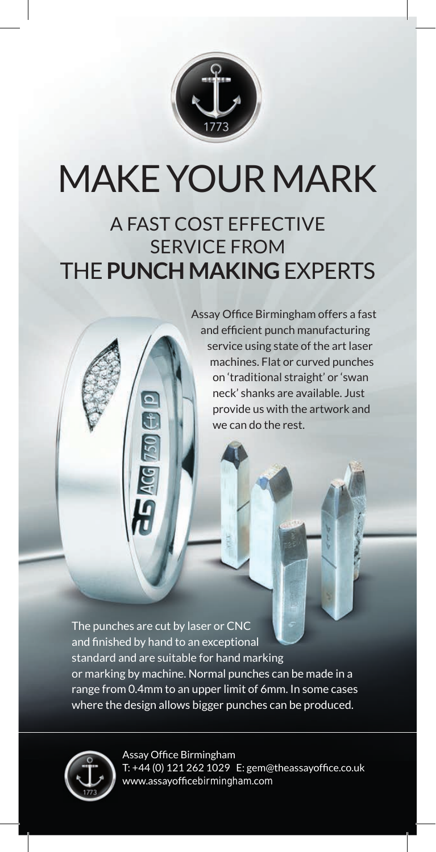

## MAKE YOUR MARK

## A FAST COST EFFECTIVE SERVICE FROM THE **PUNCH MAKING** EXPERTS

Assay Office Birmingham offers a fast and efficient punch manufacturing service using state of the art laser machines. Flat or curved punches on 'traditional straight' or 'swan neck' shanks are available. Just provide us with the artwork and we can do the rest.

The punches are cut by laser or CNC and finished by hand to an exceptional standard and are suitable for hand marking or marking by machine. Normal punches can be made in a range from 0.4mm to an upper limit of 6mm. In some cases where the design allows bigger punches can be produced.